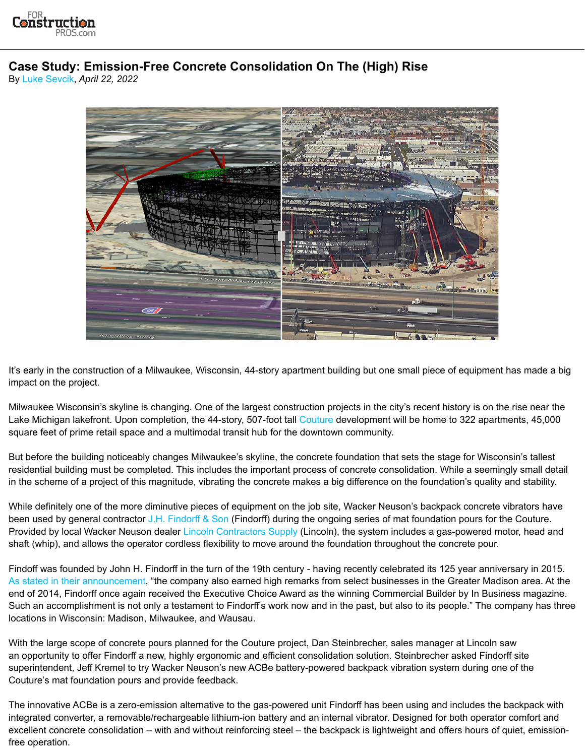

## **Case Study: Emission-Free Concrete Consolidation On The (High) Rise**

By [Luke Sevcik](https://www.forconstructionpros.com/concrete/equipment-products/contact/12113144/luke-sevcik), *April 22, 2022*



It's early in the construction of a Milwaukee, Wisconsin, 44-story apartment building but one small piece of equipment has made a big impact on the project.

Milwaukee Wisconsin's skyline is changing. One of the largest construction projects in the city's recent history is on the rise near the Lake Michigan lakefront. Upon completion, the 44-story, 507-foot tall [Couture](https://www.thecouturemke.com/) development will be home to 322 apartments, 45,000 square feet of prime retail space and a multimodal transit hub for the downtown community.

But before the building noticeably changes Milwaukee's skyline, the concrete foundation that sets the stage for Wisconsin's tallest residential building must be completed. This includes the important process of concrete consolidation. While a seemingly small detail in the scheme of a project of this magnitude, vibrating the concrete makes a big difference on the foundation's quality and stability.

While definitely one of the more diminutive pieces of equipment on the job site, Wacker Neuson's backpack concrete vibrators have been used by general contractor [J.H. Findorff & Son](https://findorff.com/) (Findorff) during the ongoing series of mat foundation pours for the Couture. Provided by local Wacker Neuson dealer [Lincoln Contractors Supply](https://www.lcswi.com/) (Lincoln), the system includes a gas-powered motor, head and shaft (whip), and allows the operator cordless flexibility to move around the foundation throughout the concrete pour.

Findoff was founded by John H. Findorff in the turn of the 19th century - having recently celebrated its 125 year anniversary in 2015. [As stated in their announcement](https://findorff.com/findorff-celebrates-125-years/), "the company also earned high remarks from select businesses in the Greater Madison area. At the end of 2014, Findorff once again received the Executive Choice Award as the winning Commercial Builder by In Business magazine. Such an accomplishment is not only a testament to Findorff's work now and in the past, but also to its people." The company has three locations in Wisconsin: Madison, Milwaukee, and Wausau.

With the large scope of concrete pours planned for the Couture project, Dan Steinbrecher, sales manager at Lincoln saw an opportunity to offer Findorff a new, highly ergonomic and efficient consolidation solution. Steinbrecher asked Findorff site superintendent, Jeff Kremel to try Wacker Neuson's new ACBe battery-powered backpack vibration system during one of the Couture's mat foundation pours and provide feedback.

The innovative ACBe is a zero-emission alternative to the gas-powered unit Findorff has been using and includes the backpack with integrated converter, a removable/rechargeable lithium-ion battery and an internal vibrator. Designed for both operator comfort and excellent concrete consolidation – with and without reinforcing steel – the backpack is lightweight and offers hours of quiet, emissionfree operation.